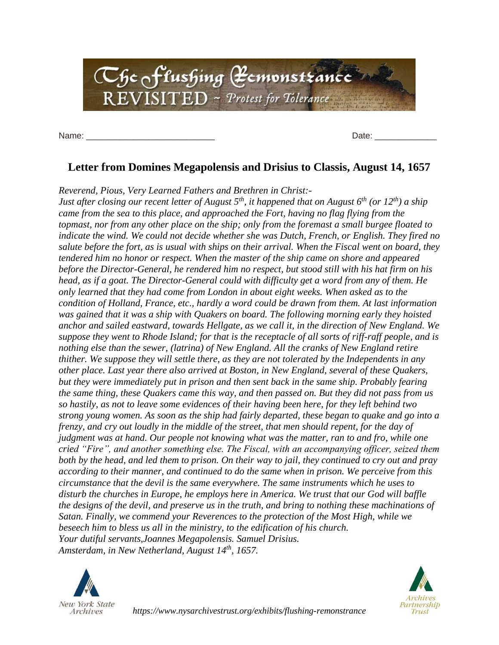

Name: \_\_\_\_\_\_\_\_\_\_\_\_\_\_\_\_\_\_\_\_\_\_\_\_\_\_\_ Date: \_\_\_\_\_\_\_\_\_\_\_\_\_

## **Letter from Domines Megapolensis and Drisius to Classis, August 14, 1657**

*Reverend, Pious, Very Learned Fathers and Brethren in Christ:-*

*Just after closing our recent letter of August 5th, it happened that on August 6th (or 12th) a ship came from the sea to this place, and approached the Fort, having no flag flying from the topmast, nor from any other place on the ship; only from the foremast a small burgee floated to indicate the wind. We could not decide whether she was Dutch, French, or English. They fired no salute before the fort, as is usual with ships on their arrival. When the Fiscal went on board, they tendered him no honor or respect. When the master of the ship came on shore and appeared before the Director-General, he rendered him no respect, but stood still with his hat firm on his head, as if a goat. The Director-General could with difficulty get a word from any of them. He only learned that they had come from London in about eight weeks. When asked as to the condition of Holland, France, etc., hardly a word could be drawn from them. At last information was gained that it was a ship with Quakers on board. The following morning early they hoisted anchor and sailed eastward, towards Hellgate, as we call it, in the direction of New England. We suppose they went to Rhode Island; for that is the receptacle of all sorts of riff-raff people, and is nothing else than the sewer, (latrina) of New England. All the cranks of New England retire thither. We suppose they will settle there, as they are not tolerated by the Independents in any other place. Last year there also arrived at Boston, in New England, several of these Quakers, but they were immediately put in prison and then sent back in the same ship. Probably fearing the same thing, these Quakers came this way, and then passed on. But they did not pass from us so hastily, as not to leave some evidences of their having been here, for they left behind two strong young women. As soon as the ship had fairly departed, these began to quake and go into a frenzy, and cry out loudly in the middle of the street, that men should repent, for the day of judgment was at hand. Our people not knowing what was the matter, ran to and fro, while one cried "Fire", and another something else. The Fiscal, with an accompanying officer, seized them both by the head, and led them to prison. On their way to jail, they continued to cry out and pray according to their manner, and continued to do the same when in prison. We perceive from this circumstance that the devil is the same everywhere. The same instruments which he uses to disturb the churches in Europe, he employs here in America. We trust that our God will baffle the designs of the devil, and preserve us in the truth, and bring to nothing these machinations of Satan. Finally, we commend your Reverences to the protection of the Most High, while we beseech him to bless us all in the ministry, to the edification of his church. Your dutiful servants,Joannes Megapolensis. Samuel Drisius. Amsterdam, in New Netherland, August 14th, 1657.*





*https://www.nysarchivestrust.org/exhibits/flushing-remonstrance*